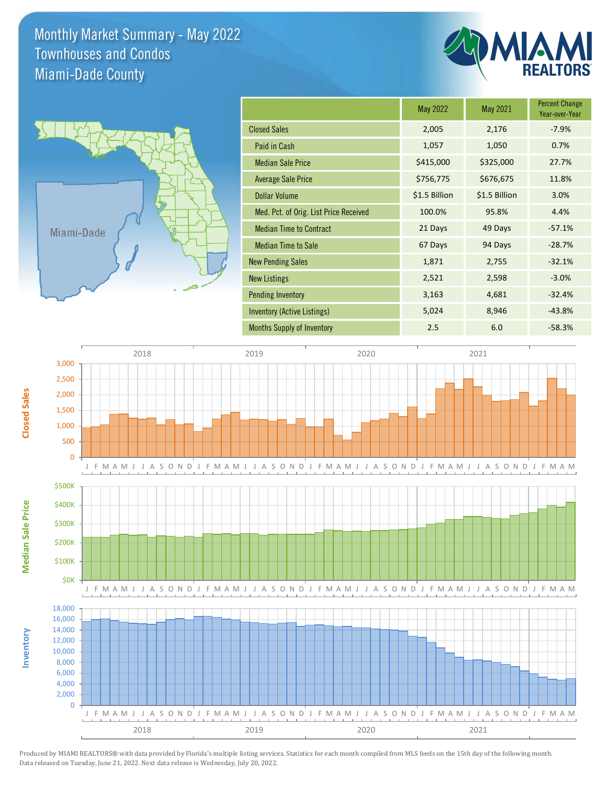Monthly Market Summary - May 2022 Miami-Dade County Townhouses and Condos



|                                        | May 2022      | May 2021      | <b>Percent Change</b><br>Year-over-Year |
|----------------------------------------|---------------|---------------|-----------------------------------------|
| <b>Closed Sales</b>                    | 2,005         | 2,176         | $-7.9%$                                 |
| Paid in Cash                           | 1,057         | 1,050         | 0.7%                                    |
| <b>Median Sale Price</b>               | \$415,000     | \$325,000     | 27.7%                                   |
| Average Sale Price                     | \$756,775     | \$676,675     | 11.8%                                   |
| <b>Dollar Volume</b>                   | \$1.5 Billion | \$1.5 Billion | 3.0%                                    |
| Med. Pct. of Orig. List Price Received | 100.0%        | 95.8%         | 4.4%                                    |
| <b>Median Time to Contract</b>         | 21 Days       | 49 Days       | $-57.1%$                                |
| <b>Median Time to Sale</b>             | 67 Days       | 94 Days       | $-28.7%$                                |
| <b>New Pending Sales</b>               | 1,871         | 2,755         | $-32.1%$                                |
| <b>New Listings</b>                    | 2,521         | 2,598         | $-3.0%$                                 |
| <b>Pending Inventory</b>               | 3,163         | 4,681         | $-32.4%$                                |
| Inventory (Active Listings)            | 5,024         | 8,946         | $-43.8%$                                |
| <b>Months Supply of Inventory</b>      | 2.5           | 6.0           | $-58.3%$                                |



Produced by MIAMI REALTORS® with data provided by Florida's multiple listing services. Statistics for each month compiled from MLS feeds on the 15th day of the following month. Data released on Tuesday, June 21, 2022. Next data release is Wednesday, July 20, 2022.

**Closed Sales**

**Inventory**

**Median Sale Price**